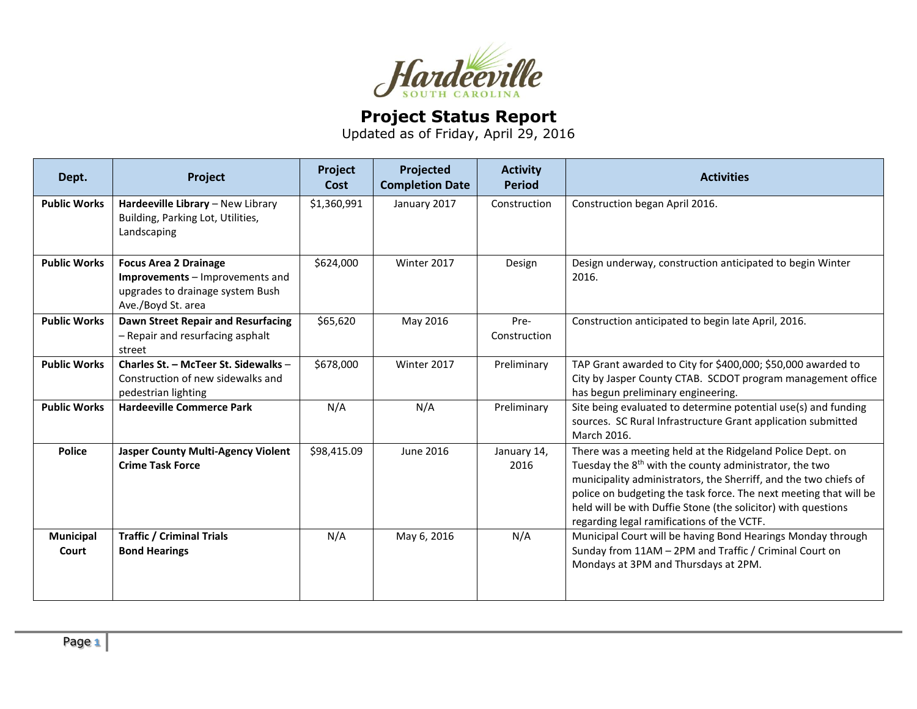

## **Project Status Report**

Updated as of Friday, April 29, 2016

| Dept.                     | Project                                                                                                                   | Project<br>Cost | Projected<br><b>Completion Date</b> | <b>Activity</b><br><b>Period</b> | <b>Activities</b>                                                                                                                                                                                                                                                                                                                                                                       |
|---------------------------|---------------------------------------------------------------------------------------------------------------------------|-----------------|-------------------------------------|----------------------------------|-----------------------------------------------------------------------------------------------------------------------------------------------------------------------------------------------------------------------------------------------------------------------------------------------------------------------------------------------------------------------------------------|
| <b>Public Works</b>       | Hardeeville Library - New Library<br>Building, Parking Lot, Utilities,<br>Landscaping                                     | \$1,360,991     | January 2017                        | Construction                     | Construction began April 2016.                                                                                                                                                                                                                                                                                                                                                          |
| <b>Public Works</b>       | <b>Focus Area 2 Drainage</b><br>Improvements - Improvements and<br>upgrades to drainage system Bush<br>Ave./Boyd St. area | \$624,000       | Winter 2017                         | Design                           | Design underway, construction anticipated to begin Winter<br>2016.                                                                                                                                                                                                                                                                                                                      |
| <b>Public Works</b>       | Dawn Street Repair and Resurfacing<br>- Repair and resurfacing asphalt<br>street                                          | \$65,620        | May 2016                            | Pre-<br>Construction             | Construction anticipated to begin late April, 2016.                                                                                                                                                                                                                                                                                                                                     |
| <b>Public Works</b>       | Charles St. - McTeer St. Sidewalks -<br>Construction of new sidewalks and<br>pedestrian lighting                          | \$678,000       | Winter 2017                         | Preliminary                      | TAP Grant awarded to City for \$400,000; \$50,000 awarded to<br>City by Jasper County CTAB. SCDOT program management office<br>has begun preliminary engineering.                                                                                                                                                                                                                       |
| <b>Public Works</b>       | <b>Hardeeville Commerce Park</b>                                                                                          | N/A             | N/A                                 | Preliminary                      | Site being evaluated to determine potential use(s) and funding<br>sources. SC Rural Infrastructure Grant application submitted<br>March 2016.                                                                                                                                                                                                                                           |
| <b>Police</b>             | <b>Jasper County Multi-Agency Violent</b><br><b>Crime Task Force</b>                                                      | \$98,415.09     | June 2016                           | January 14,<br>2016              | There was a meeting held at the Ridgeland Police Dept. on<br>Tuesday the 8 <sup>th</sup> with the county administrator, the two<br>municipality administrators, the Sherriff, and the two chiefs of<br>police on budgeting the task force. The next meeting that will be<br>held will be with Duffie Stone (the solicitor) with questions<br>regarding legal ramifications of the VCTF. |
| <b>Municipal</b><br>Court | <b>Traffic / Criminal Trials</b><br><b>Bond Hearings</b>                                                                  | N/A             | May 6, 2016                         | N/A                              | Municipal Court will be having Bond Hearings Monday through<br>Sunday from 11AM - 2PM and Traffic / Criminal Court on<br>Mondays at 3PM and Thursdays at 2PM.                                                                                                                                                                                                                           |